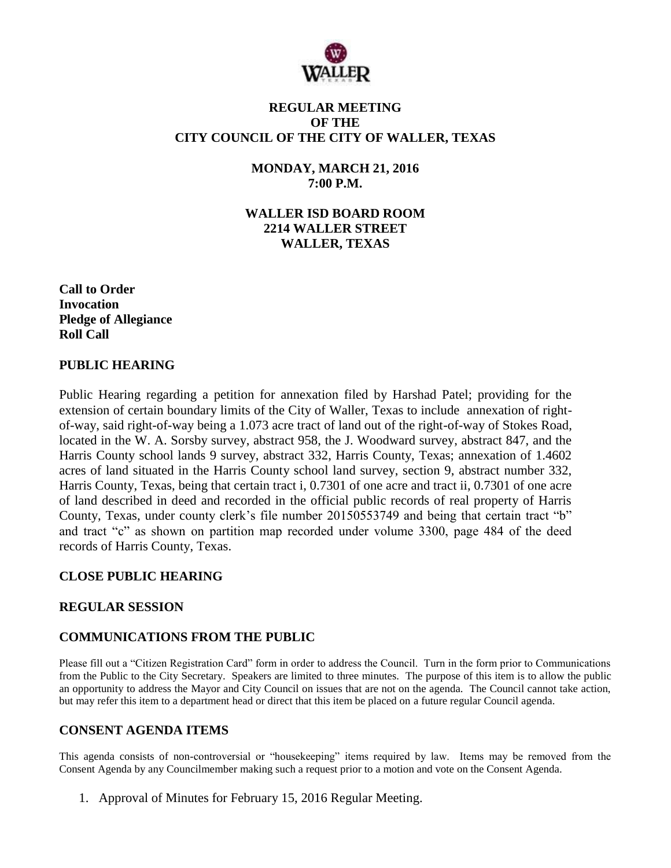

### **REGULAR MEETING OF THE CITY COUNCIL OF THE CITY OF WALLER, TEXAS**

### **MONDAY, MARCH 21, 2016 7:00 P.M.**

**WALLER ISD BOARD ROOM 2214 WALLER STREET WALLER, TEXAS**

**Call to Order Invocation Pledge of Allegiance Roll Call**

### **PUBLIC HEARING**

Public Hearing regarding a petition for annexation filed by Harshad Patel; providing for the extension of certain boundary limits of the City of Waller, Texas to include annexation of rightof-way, said right-of-way being a 1.073 acre tract of land out of the right-of-way of Stokes Road, located in the W. A. Sorsby survey, abstract 958, the J. Woodward survey, abstract 847, and the Harris County school lands 9 survey, abstract 332, Harris County, Texas; annexation of 1.4602 acres of land situated in the Harris County school land survey, section 9, abstract number 332, Harris County, Texas, being that certain tract i, 0.7301 of one acre and tract ii, 0.7301 of one acre of land described in deed and recorded in the official public records of real property of Harris County, Texas, under county clerk's file number 20150553749 and being that certain tract "b" and tract "c" as shown on partition map recorded under volume 3300, page 484 of the deed records of Harris County, Texas.

### **CLOSE PUBLIC HEARING**

### **REGULAR SESSION**

### **COMMUNICATIONS FROM THE PUBLIC**

Please fill out a "Citizen Registration Card" form in order to address the Council. Turn in the form prior to Communications from the Public to the City Secretary. Speakers are limited to three minutes. The purpose of this item is to allow the public an opportunity to address the Mayor and City Council on issues that are not on the agenda. The Council cannot take action, but may refer this item to a department head or direct that this item be placed on a future regular Council agenda.

### **CONSENT AGENDA ITEMS**

This agenda consists of non-controversial or "housekeeping" items required by law. Items may be removed from the Consent Agenda by any Councilmember making such a request prior to a motion and vote on the Consent Agenda.

1. Approval of Minutes for February 15, 2016 Regular Meeting.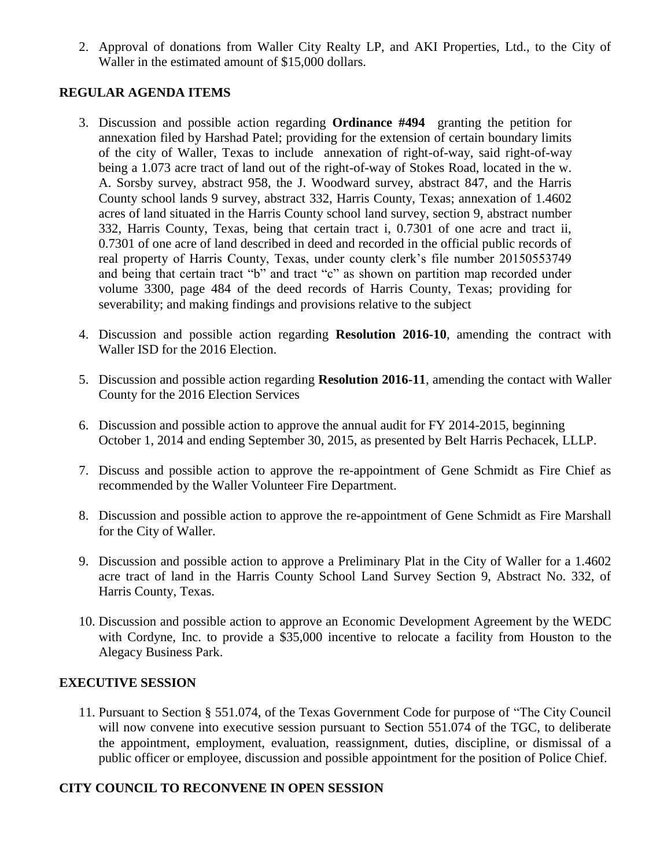2. Approval of donations from Waller City Realty LP, and AKI Properties, Ltd., to the City of Waller in the estimated amount of \$15,000 dollars.

## **REGULAR AGENDA ITEMS**

- 3. Discussion and possible action regarding **Ordinance #494** granting the petition for annexation filed by Harshad Patel; providing for the extension of certain boundary limits of the city of Waller, Texas to include annexation of right-of-way, said right-of-way being a 1.073 acre tract of land out of the right-of-way of Stokes Road, located in the w. A. Sorsby survey, abstract 958, the J. Woodward survey, abstract 847, and the Harris County school lands 9 survey, abstract 332, Harris County, Texas; annexation of 1.4602 acres of land situated in the Harris County school land survey, section 9, abstract number 332, Harris County, Texas, being that certain tract i, 0.7301 of one acre and tract ii, 0.7301 of one acre of land described in deed and recorded in the official public records of real property of Harris County, Texas, under county clerk's file number 20150553749 and being that certain tract "b" and tract "c" as shown on partition map recorded under volume 3300, page 484 of the deed records of Harris County, Texas; providing for severability; and making findings and provisions relative to the subject
- 4. Discussion and possible action regarding **Resolution 2016-10**, amending the contract with Waller ISD for the 2016 Election.
- 5. Discussion and possible action regarding **Resolution 2016-11**, amending the contact with Waller County for the 2016 Election Services
- 6. Discussion and possible action to approve the annual audit for FY 2014-2015, beginning October 1, 2014 and ending September 30, 2015, as presented by Belt Harris Pechacek, LLLP.
- 7. Discuss and possible action to approve the re-appointment of Gene Schmidt as Fire Chief as recommended by the Waller Volunteer Fire Department.
- 8. Discussion and possible action to approve the re-appointment of Gene Schmidt as Fire Marshall for the City of Waller.
- 9. Discussion and possible action to approve a Preliminary Plat in the City of Waller for a 1.4602 acre tract of land in the Harris County School Land Survey Section 9, Abstract No. 332, of Harris County, Texas.
- 10. Discussion and possible action to approve an Economic Development Agreement by the WEDC with Cordyne, Inc. to provide a \$35,000 incentive to relocate a facility from Houston to the Alegacy Business Park.

### **EXECUTIVE SESSION**

11. Pursuant to Section § 551.074, of the Texas Government Code for purpose of "The City Council will now convene into executive session pursuant to Section 551.074 of the TGC, to deliberate the appointment, employment, evaluation, reassignment, duties, discipline, or dismissal of a public officer or employee, discussion and possible appointment for the position of Police Chief.

# **CITY COUNCIL TO RECONVENE IN OPEN SESSION**